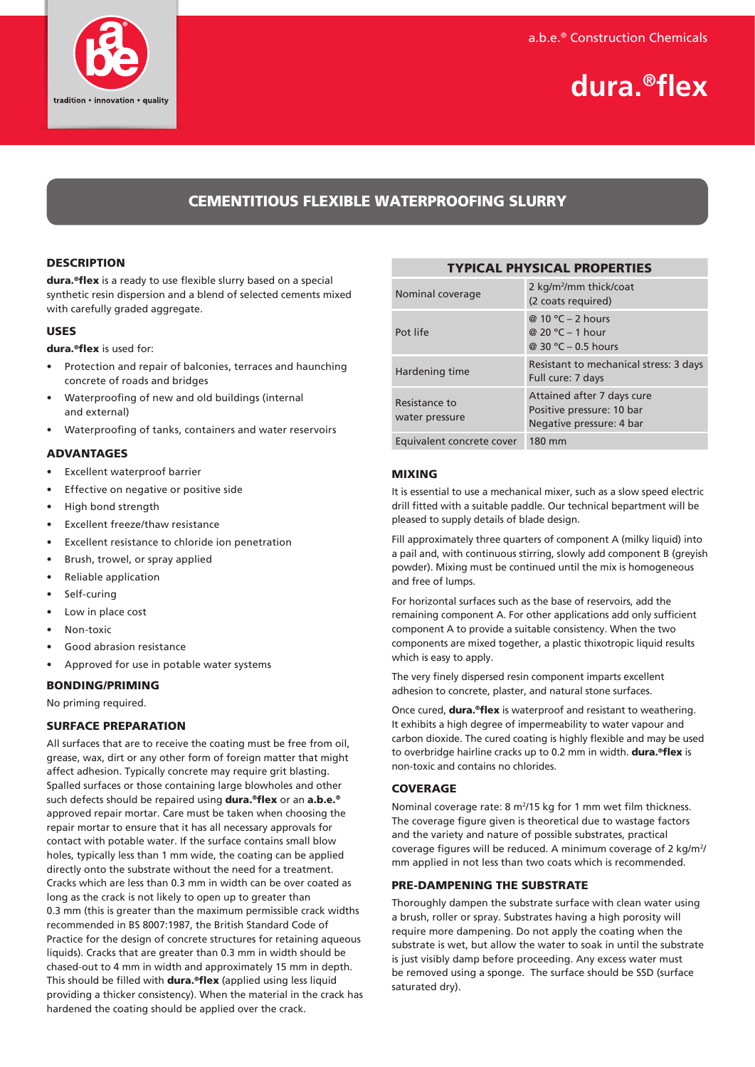

# **dura.®flex**

# CEMENTITIOUS FLEXIBLE WATERPROOFING SLURRY

# **DESCRIPTION**

dura.<sup>®</sup>flex is a ready to use flexible slurry based on a special synthetic resin dispersion and a blend of selected cements mixed with carefully graded aggregate.

# USES

dura.®flex is used for:

- Protection and repair of balconies, terraces and haunching concrete of roads and bridges
- Waterproofing of new and old buildings (internal and external)
- Waterproofing of tanks, containers and water reservoirs

# ADVANTAGES

- Excellent waterproof barrier
- Effective on negative or positive side
- High bond strength
- Excellent freeze/thaw resistance
- Excellent resistance to chloride ion penetration
- Brush, trowel, or spray applied
- Reliable application
- Self-curing
- Low in place cost
- Non-toxic
- Good abrasion resistance
- Approved for use in potable water systems

# BONDING/PRIMING

No priming required.

# SURFACE PREPARATION

All surfaces that are to receive the coating must be free from oil, grease, wax, dirt or any other form of foreign matter that might affect adhesion. Typically concrete may require grit blasting. Spalled surfaces or those containing large blowholes and other such defects should be repaired using **dura.<sup>®</sup>flex** or an **a.b.e.**<sup>®</sup> approved repair mortar. Care must be taken when choosing the repair mortar to ensure that it has all necessary approvals for contact with potable water. If the surface contains small blow holes, typically less than 1 mm wide, the coating can be applied directly onto the substrate without the need for a treatment. Cracks which are less than 0.3 mm in width can be over coated as long as the crack is not likely to open up to greater than 0.3 mm (this is greater than the maximum permissible crack widths recommended in BS 8007:1987, the British Standard Code of Practice for the design of concrete structures for retaining aqueous liquids). Cracks that are greater than 0.3 mm in width should be chased-out to 4 mm in width and approximately 15 mm in depth. This should be filled with dura.®flex (applied using less liquid providing a thicker consistency). When the material in the crack has hardened the coating should be applied over the crack.

| Nominal coverage                | 2 kg/m <sup>2</sup> /mm thick/coat<br>(2 coats required)                            |
|---------------------------------|-------------------------------------------------------------------------------------|
| Pot life                        | @ 10 °C – 2 hours<br>@ 20 °C – 1 hour<br>@ 30 °C - 0.5 hours                        |
| Hardening time                  | Resistant to mechanical stress: 3 days<br>Full cure: 7 days                         |
| Resistance to<br>water pressure | Attained after 7 days cure<br>Positive pressure: 10 bar<br>Negative pressure: 4 bar |
| Equivalent concrete cover       | 180 mm                                                                              |

TYPICAL PHYSICAL PROPERTIES

#### MIXING

It is essential to use a mechanical mixer, such as a slow speed electric drill fitted with a suitable paddle. Our technical bepartment will be pleased to supply details of blade design.

Fill approximately three quarters of component A (milky liquid) into a pail and, with continuous stirring, slowly add component B (greyish powder). Mixing must be continued until the mix is homogeneous and free of lumps.

For horizontal surfaces such as the base of reservoirs, add the remaining component A. For other applications add only sufficient component A to provide a suitable consistency. When the two components are mixed together, a plastic thixotropic liquid results which is easy to apply.

The very finely dispersed resin component imparts excellent adhesion to concrete, plaster, and natural stone surfaces.

Once cured, **dura.®flex** is waterproof and resistant to weathering. It exhibits a high degree of impermeability to water vapour and carbon dioxide. The cured coating is highly flexible and may be used to overbridge hairline cracks up to 0.2 mm in width. dura.<sup>®</sup>flex is non-toxic and contains no chlorides.

# **COVERAGE**

Nominal coverage rate: 8 m<sup>2</sup>/15 kg for 1 mm wet film thickness. The coverage figure given is theoretical due to wastage factors and the variety and nature of possible substrates, practical coverage figures will be reduced. A minimum coverage of 2 kg/m<sup>2</sup>/ mm applied in not less than two coats which is recommended.

# PRE-DAMPENING THE SUBSTRATE

Thoroughly dampen the substrate surface with clean water using a brush, roller or spray. Substrates having a high porosity will require more dampening. Do not apply the coating when the substrate is wet, but allow the water to soak in until the substrate is just visibly damp before proceeding. Any excess water must be removed using a sponge. The surface should be SSD (surface saturated dry).